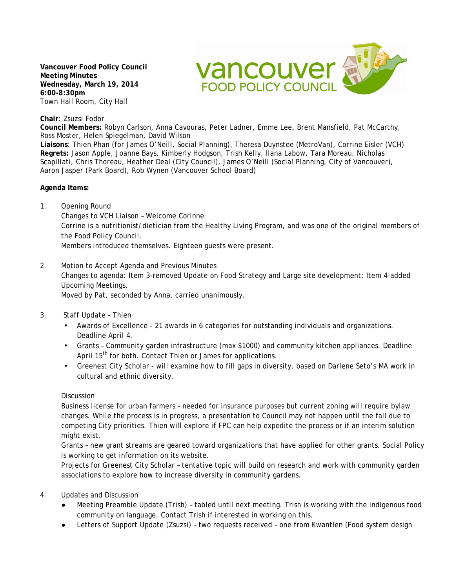**Vancouver Food Policy Council Meeting Minutes Wednesday, March 19, 2014 6:00-8:30pm** Town Hall Room, City Hall



**Chair**: Zsuzsi Fodor

**Council Members:** Robyn Carlson, Anna Cavouras, Peter Ladner, Emme Lee, Brent Mansfield, Pat McCarthy, Ross Moster, Helen Spiegelman, David Wilson

**Liaisons**: Thien Phan (for James O'Neill, Social Planning), Theresa Duynstee (MetroVan), Corrine Eisler (VCH) **Regrets:** Jason Apple, Joanne Bays, Kimberly Hodgson, Trish Kelly, Ilana Labow, Tara Moreau, Nicholas Scapillati, Chris Thoreau, Heather Deal (City Council), James O'Neill (Social Planning, City of Vancouver), Aaron Jasper (Park Board), Rob Wynen (Vancouver School Board)

**Agenda Items:**

1. Opening Round

Changes to VCH Liaison – Welcome Corinne Corrine is a nutritionist/dietician from the Healthy Living Program, and was one of the original members of the Food Policy Council.

Members introduced themselves. Eighteen guests were present.

2. Motion to Accept Agenda and Previous Minutes

Changes to agenda: Item 3-removed Update on Food Strategy and Large site development; Item 4-added Upcoming Meetings.

Moved by Pat, seconded by Anna, carried unanimously.

- 3. Staff Update Thien
	- Awards of Excellence 21 awards in 6 categories for outstanding individuals and organizations. Deadline April 4.
	- Grants Community garden infrastructure (max \$1000) and community kitchen appliances. Deadline April 15<sup>th</sup> for both. Contact Thien or James for applications.
	- Greenest City Scholar will examine how to fill gaps in diversity, based on Darlene Seto's MA work in cultural and ethnic diversity.

## Discussion

Business license for urban farmers – needed for insurance purposes but current zoning will require bylaw changes. While the process is in progress, a presentation to Council may not happen until the fall due to competing City priorities. Thien will explore if FPC can help expedite the process or if an interim solution might exist.

Grants – new grant streams are geared toward organizations that have applied for other grants. Social Policy is working to get information on its website.

Projects for Greenest City Scholar – tentative topic will build on research and work with community garden associations to explore how to increase diversity in community gardens.

- 4. Updates and Discussion
	- Meeting Preamble Update (Trish) tabled until next meeting. Trish is working with the indigenous food community on language. Contact Trish if interested in working on this.
	- Letters of Support Update (Zsuzsi) two requests received one from Kwantlen (Food system design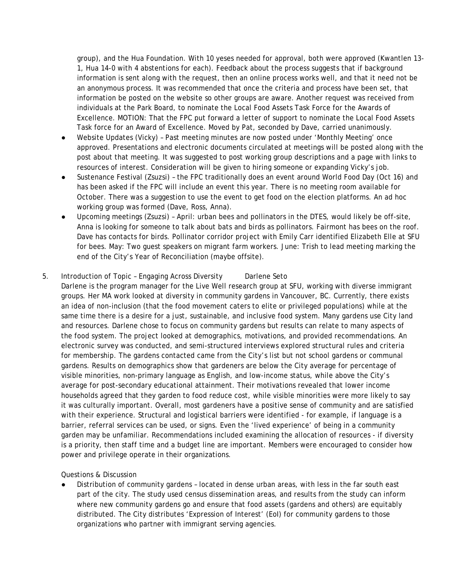group), and the Hua Foundation. With 10 yeses needed for approval, both were approved (Kwantlen 13- 1, Hua 14-0 with 4 abstentions for each). Feedback about the process suggests that if background information is sent along with the request, then an online process works well, and that it need not be an anonymous process. It was recommended that once the criteria and process have been set, that information be posted on the website so other groups are aware. Another request was received from individuals at the Park Board, to nominate the Local Food Assets Task Force for the Awards of Excellence. MOTION: That the FPC put forward a letter of support to nominate the Local Food Assets Task force for an Award of Excellence. Moved by Pat, seconded by Dave, carried unanimously.

- Website Updates (Vicky) Past meeting minutes are now posted under 'Monthly Meeting' once approved. Presentations and electronic documents circulated at meetings will be posted along with the post about that meeting. It was suggested to post working group descriptions and a page with links to resources of interest. Consideration will be given to hiring someone or expanding Vicky's job.
- Sustenance Festival (Zsuzsi) the FPC traditionally does an event around World Food Day (Oct 16) and has been asked if the FPC will include an event this year. There is no meeting room available for October. There was a suggestion to use the event to get food on the election platforms. An ad hoc working group was formed (Dave, Ross, Anna).
- Upcoming meetings (Zsuzsi) April: urban bees and pollinators in the DTES, would likely be off-site, Anna is looking for someone to talk about bats and birds as pollinators. Fairmont has bees on the roof. Dave has contacts for birds. Pollinator corridor project with Emily Carr identified Elizabeth Elle at SFU for bees. May: Two guest speakers on migrant farm workers. June: Trish to lead meeting marking the end of the City's Year of Reconciliation (maybe offsite).

## 5. Introduction of Topic – Engaging Across Diversity Darlene Seto

Darlene is the program manager for the Live Well research group at SFU, working with diverse immigrant groups. Her MA work looked at diversity in community gardens in Vancouver, BC. Currently, there exists an idea of non-inclusion (that the food movement caters to elite or privileged populations) while at the same time there is a desire for a just, sustainable, and inclusive food system. Many gardens use City land and resources. Darlene chose to focus on community gardens but results can relate to many aspects of the food system. The project looked at demographics, motivations, and provided recommendations. An electronic survey was conducted, and semi-structured interviews explored structural rules and criteria for membership. The gardens contacted came from the City's list but not school gardens or communal gardens. Results on demographics show that gardeners are below the City average for percentage of visible minorities, non-primary language as English, and low-income status, while above the City's average for post-secondary educational attainment. Their motivations revealed that lower income households agreed that they garden to food reduce cost, while visible minorities were more likely to say it was culturally important. Overall, most gardeners have a positive sense of community and are satisfied with their experience. Structural and logistical barriers were identified - for example, if language is a barrier, referral services can be used, or signs. Even the 'lived experience' of being in a community garden may be unfamiliar. Recommendations included examining the allocation of resources - if diversity is a priority, then staff time and a budget line are important. Members were encouraged to consider how power and privilege operate in their organizations.

Questions & Discussion

Distribution of community gardens - located in dense urban areas, with less in the far south east part of the city. The study used census dissemination areas, and results from the study can inform where new community gardens go and ensure that food assets (gardens and others) are equitably distributed. The City distributes 'Expression of Interest' (EoI) for community gardens to those organizations who partner with immigrant serving agencies.